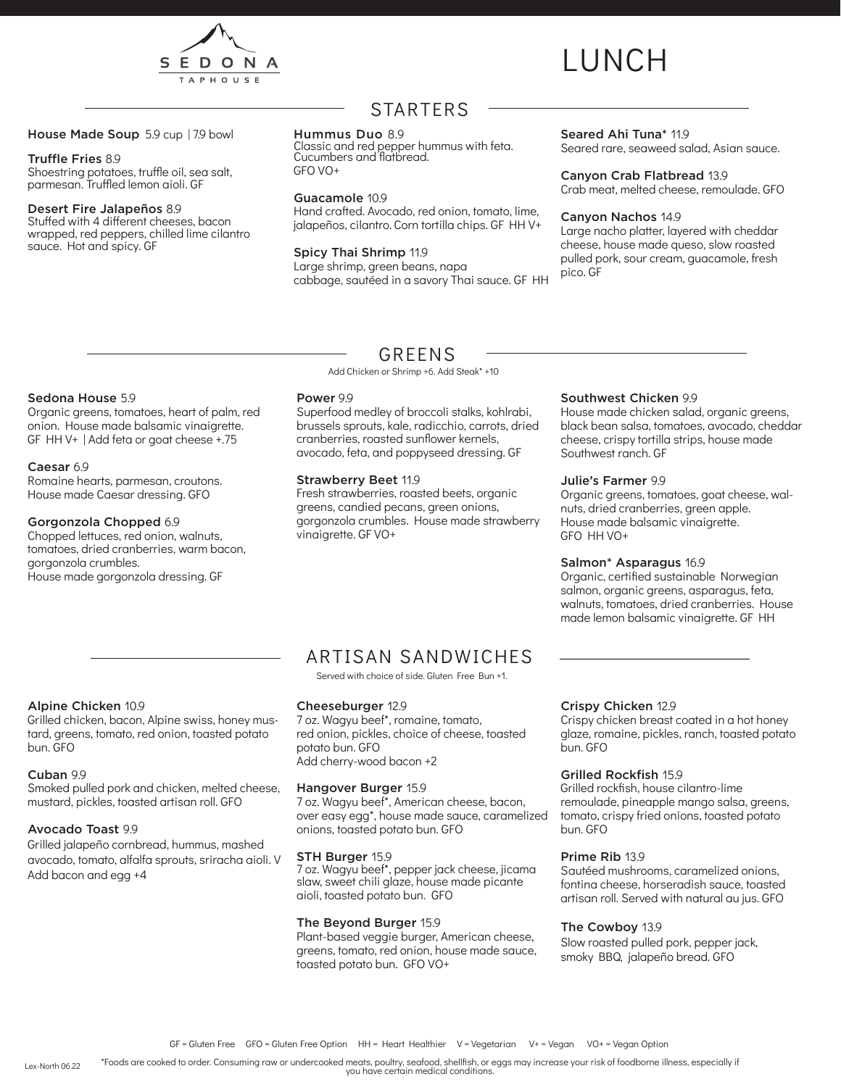

# LUNCH

#### House Made Soup 5.9 cup | 7.9 bowl

#### Truffle Fries 8.9

Shoestring potatoes, truffle oil, sea salt, parmesan. Truffled lemon aioli. GF

#### Desert Fire Jalapeños 8.9

Stuffed with 4 different cheeses, bacon wrapped, red peppers, chilled lime cilantro sauce. Hot and spicy. GF

## STARTERS

#### Hummus Duo 8.9

Classic and red pepper hummus with feta. Cucumbers and flatbread. GFO VO+

#### Guacamole 10.9

Hand crafted. Avocado, red onion, tomato, lime, jalapeños, cilantro. Corn tortilla chips. GF HH V+

#### Spicy Thai Shrimp 11.9

Large shrimp, green beans, napa cabbage, sautéed in a savory Thai sauce. GF HH

#### Seared Ahi Tuna<sup>\*</sup> 11.9

Seared rare, seaweed salad, Asian sauce.

#### Canyon Crab Flatbread 13.9

Crab meat, melted cheese, remoulade. GFO

#### Canyon Nachos 14.9

Large nacho platter, layered with cheddar cheese, house made queso, slow roasted pulled pork, sour cream, guacamole, fresh pico. GF

#### Sedona House 5.9

Organic greens, tomatoes, heart of palm, red onion. House made balsamic vinaigrette. GF HH V+ | Add feta or goat cheese +.75

#### Caesar 6.9

Romaine hearts, parmesan, croutons. House made Caesar dressing. GFO

#### Gorgonzola Chopped 6.9

Chopped lettuces, red onion, walnuts, tomatoes, dried cranberries, warm bacon, gorgonzola crumbles. House made gorgonzola dressing. GF

### GREENS

Add Chicken or Shrimp +6. Add Steak\* +10

#### Power 9.9

Superfood medley of broccoli stalks, kohlrabi, brussels sprouts, kale, radicchio, carrots, dried cranberries, roasted sunflower kernels, avocado, feta, and poppyseed dressing. GF

#### Strawberry Beet 11.9

Fresh strawberries, roasted beets, organic greens, candied pecans, green onions, gorgonzola crumbles. House made strawberry vinaigrette. GF VO+

#### Southwest Chicken 9.9

House made chicken salad, organic greens, black bean salsa, tomatoes, avocado, cheddar cheese, crispy tortilla strips, house made Southwest ranch. GF

#### Julie's Farmer 9.9

Organic greens, tomatoes, goat cheese, walnuts, dried cranberries, green apple. House made balsamic vinaigrette. GFO HH VO+

#### Salmon\* Asparagus 16.9

Organic, certified sustainable Norwegian salmon, organic greens, asparagus, feta, walnuts, tomatoes, dried cranberries. House made lemon balsamic vinaigrette. GF HH

## Alpine Chicken 10.9

Grilled chicken, bacon, Alpine swiss, honey mustard, greens, tomato, red onion, toasted potato bun. GFO

#### Cuban 9.9

Smoked pulled pork and chicken, melted cheese, mustard, pickles, toasted artisan roll. GFO

#### Avocado Toast 9.9

Grilled jalapeño cornbread, hummus, mashed avocado, tomato, alfalfa sprouts, sriracha aioli. V Add bacon and egg +4

## ARTISAN SANDWICHES

Served with choice of side. Gluten Free Bun +1.

#### Cheeseburger 12.9

7 oz. Wagyu beef\*, romaine, tomato, red onion, pickles, choice of cheese, toasted potato bun. GFO Add cherry-wood bacon +2

#### Hangover Burger 15.9

7 oz. Wagyu beef\*, American cheese, bacon, over easy egg\*, house made sauce, caramelized onions, toasted potato bun. GFO

#### STH Burger 15.9

7 oz. Wagyu beef\*, pepper jack cheese, jicama slaw, sweet chili glaze, house made picante aioli, toasted potato bun. GFO

#### The Beyond Burger 15.9

Plant-based veggie burger, American cheese, greens, tomato, red onion, house made sauce, toasted potato bun. GFO VO+

#### Crispy Chicken 12.9

Crispy chicken breast coated in a hot honey glaze, romaine, pickles, ranch, toasted potato bun. GFO

#### Grilled Rockfish 15.9

Grilled rockfish, house cilantro-lime remoulade, pineapple mango salsa, greens, tomato, crispy fried onions, toasted potato bun. GFO

#### Prime Rib 13.9

Sautéed mushrooms, caramelized onions, fontina cheese, horseradish sauce, toasted artisan roll. Served with natural au jus. GFO

#### The Cowboy 13.9

Slow roasted pulled pork, pepper jack, smoky BBQ, jalapeño bread. GFO

\*Foods are cooked to order. Consuming raw or undercooked meats, poultry, seafood, shellfish, or eggs may increase your risk of foodborne illness, especially if you have certain medical conditions.

Lex-North 06.22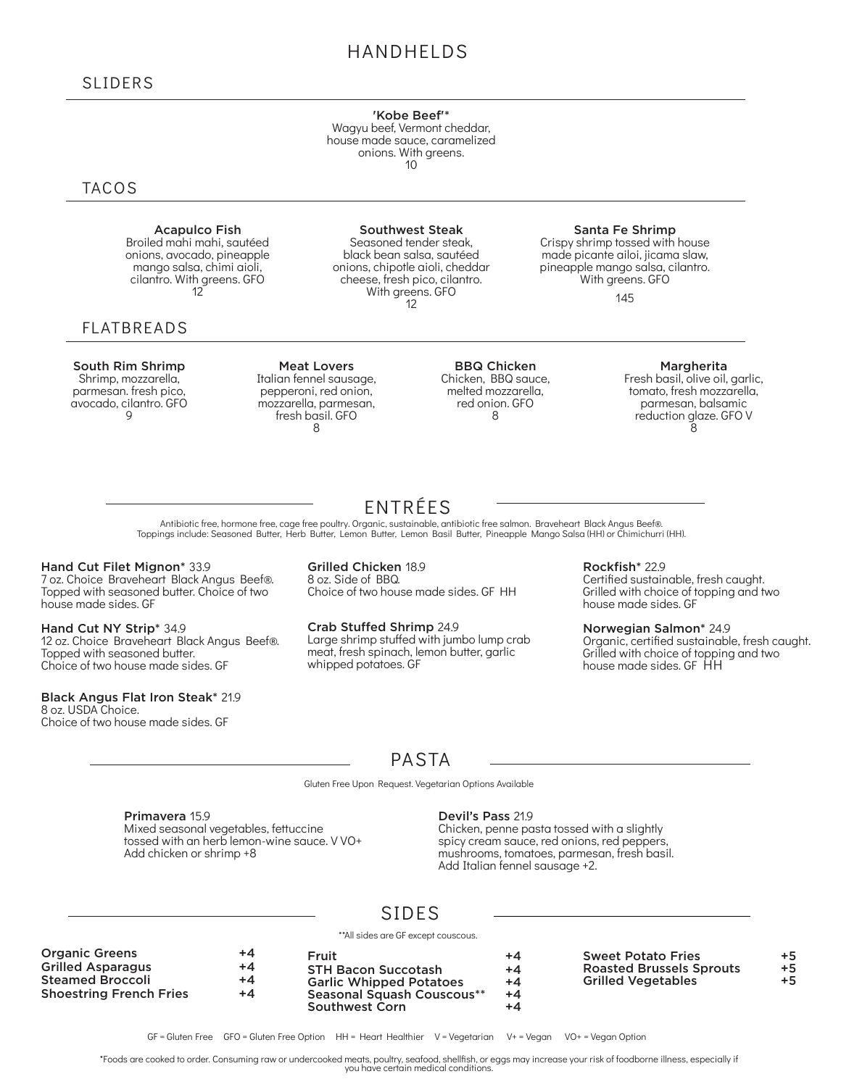## HANDHELDS

'Kobe Beef'\*

Wagyu beef, Vermont cheddar, house made sauce, caramelized onions. With greens. 10

Southwest Steak Seasoned tender steak, black bean salsa, sautéed onions, chipotle aioli, cheddar cheese, fresh pico, cilantro. With greens. GFO 12

### **TACOS**

Acapulco Fish Broiled mahi mahi, sautéed onions, avocado, pineapple mango salsa, chimi aioli, cilantro. With greens. GFO 12

### FLATBREADS

South Rim Shrimp

Shrimp, mozzarella, parmesan. fresh pico, avocado, cilantro. GFO  $\mathsf{Q}$ 

Meat Lovers Italian fennel sausage, pepperoni, red onion, mozzarella, parmesan, fresh basil. GFO 8

BBQ Chicken Chicken, BBQ sauce, melted mozzarella, red onion. GFO 8

#### Santa Fe Shrimp

Crispy shrimp tossed with house made picante ailoi, jicama slaw, pineapple mango salsa, cilantro. With greens. GFO

145

#### Margherita

Fresh basil, olive oil, garlic, tomato, fresh mozzarella, parmesan, balsamic reduction glaze. GFO V Ŕ

Antibiotic free, hormone free, cage free poultry. Organic, sustainable, antibiotic free salmon. Braveheart Black Angus Beef®. Toppings include: Seasoned Butter, Herb Butter, Lemon Butter, Lemon Basil Butter, Pineapple Mango Salsa (HH) or Chimichurri (HH).

#### Hand Cut Filet Mignon\* 33.9

7 oz. Choice Braveheart Black Angus Beef®. Topped with seasoned butter. Choice of two house made sides. GF

Hand Cut NY Strip\* 34.9 12 oz. Choice Braveheart Black Angus Beef®. Topped with seasoned butter. Choice of two house made sides. GF

#### Black Angus Flat Iron Steak\* 21.9

8 oz. USDA Choice. Choice of two house made sides. GF Grilled Chicken 18.9 8 oz. Side of BBQ. Choice of two house made sides. GF HH

Crab Stuffed Shrimp 24.9 Large shrimp stuffed with jumbo lump crab meat, fresh spinach, lemon butter, garlic whipped potatoes. GF

Rockfish\* 22.9 Certified sustainable, fresh caught. Grilled with choice of topping and two house made sides. GF

Norwegian Salmon\* 24.9 Organic, certified sustainable, fresh caught. Grilled with choice of topping and two house made sides. GF HH

## PASTA

Gluten Free Upon Request. Vegetarian Options Available

Primavera 15.9 Mixed seasonal vegetables, fettuccine tossed with an herb lemon-wine sauce. VVO+ Add chicken or shrimp +8

#### Devil's Pass 21.9

Chicken, penne pasta tossed with a slightly spicy cream sauce, red onions, red peppers, mushrooms, tomatoes, parmesan, fresh basil. Add Italian fennel sausage +2.

## SIDES

\*\*All sides are GF except couscous.

| <b>Organic Greens</b><br><b>Grilled Asparagus</b> | +4<br>+4 | Fruit<br><b>STH Bacon Succotash</b>          | +4<br>$+4$ | <b>Sweet Potato Fries</b><br><b>Roasted Brussels Sprouts</b> | $+5$<br>$+5$ |
|---------------------------------------------------|----------|----------------------------------------------|------------|--------------------------------------------------------------|--------------|
| <b>Steamed Broccoli</b>                           | +4       | <b>Garlic Whipped Potatoes</b>               | $+4$       | <b>Grilled Vegetables</b>                                    | +5           |
| <b>Shoestring French Fries</b>                    | +4       | Seasonal Squash Couscous**<br>Southwest Corn | +4<br>+4   |                                                              |              |

\*Foods are cooked to order. Consuming raw or undercooked meats, poultry, seafood, shellfish, or eggs may increase your risk of foodborne illness, especially if you have certain medical conditions.

## ENTRÉES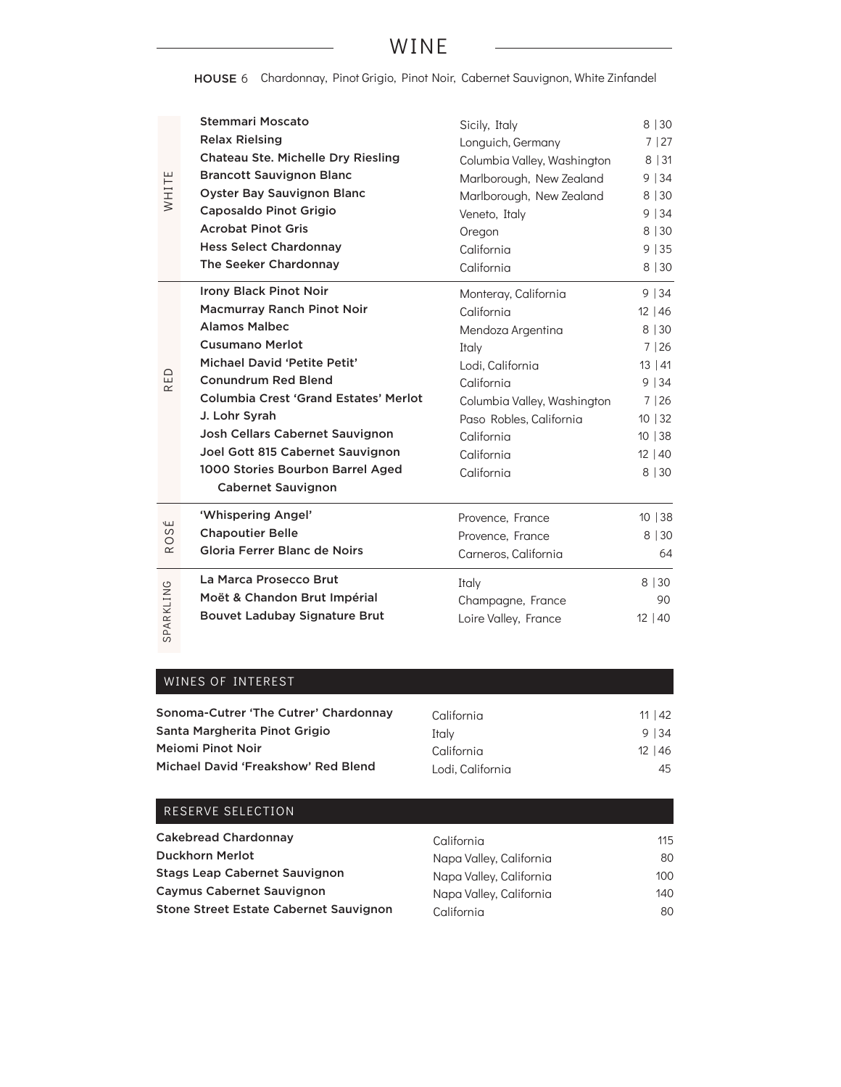## WINE

HOUSE 6 Chardonnay, Pinot Grigio, Pinot Noir, Cabernet Sauvignon, White Zinfandel

| WHITE            | <b>Stemmari Moscato</b><br><b>Relax Rielsing</b><br><b>Chateau Ste. Michelle Dry Riesling</b><br><b>Brancott Sauvignon Blanc</b><br><b>Oyster Bay Sauvignon Blanc</b><br><b>Caposaldo Pinot Grigio</b><br><b>Acrobat Pinot Gris</b><br><b>Hess Select Chardonnay</b><br>The Seeker Chardonnay | Sicily, Italy<br>Longuich, Germany<br>Columbia Valley, Washington<br>Marlborough, New Zealand<br>Marlborough, New Zealand<br>Veneto, Italy<br>Oregon<br>California<br>California | 8 30<br>7 27<br>8 31<br>9 34<br>8 30<br>9 34<br>8   30<br>9 35<br>8   30 |
|------------------|-----------------------------------------------------------------------------------------------------------------------------------------------------------------------------------------------------------------------------------------------------------------------------------------------|----------------------------------------------------------------------------------------------------------------------------------------------------------------------------------|--------------------------------------------------------------------------|
|                  | Irony Black Pinot Noir<br><b>Macmurray Ranch Pinot Noir</b>                                                                                                                                                                                                                                   | Monteray, California<br>California                                                                                                                                               | 9 34<br>$12 \mid 46$                                                     |
|                  | <b>Alamos Malbec</b>                                                                                                                                                                                                                                                                          | Mendoza Argentina                                                                                                                                                                | 8   30                                                                   |
|                  | <b>Cusumano Merlot</b>                                                                                                                                                                                                                                                                        | Italy                                                                                                                                                                            | 7 26                                                                     |
| 읍<br>$\propto$   | Michael David 'Petite Petit'                                                                                                                                                                                                                                                                  | Lodi, California                                                                                                                                                                 | 13 41                                                                    |
|                  | <b>Conundrum Red Blend</b>                                                                                                                                                                                                                                                                    | California                                                                                                                                                                       | 9 34                                                                     |
|                  | Columbia Crest 'Grand Estates' Merlot                                                                                                                                                                                                                                                         | Columbia Valley, Washington                                                                                                                                                      | 7 26                                                                     |
|                  | J. Lohr Syrah                                                                                                                                                                                                                                                                                 | Paso Robles, California                                                                                                                                                          | 10   32                                                                  |
|                  | Josh Cellars Cabernet Sauvignon                                                                                                                                                                                                                                                               | California                                                                                                                                                                       | 10 38                                                                    |
|                  | Joel Gott 815 Cabernet Sauvignon                                                                                                                                                                                                                                                              | California                                                                                                                                                                       | 12 40                                                                    |
|                  | 1000 Stories Bourbon Barrel Aged<br><b>Cabernet Sauvignon</b>                                                                                                                                                                                                                                 | California                                                                                                                                                                       | 8 30                                                                     |
|                  | 'Whispering Angel'                                                                                                                                                                                                                                                                            | Provence, France                                                                                                                                                                 | 10 38                                                                    |
| É<br>S<br>O<br>ĸ | <b>Chapoutier Belle</b>                                                                                                                                                                                                                                                                       | Provence, France                                                                                                                                                                 | 8 30                                                                     |
|                  | Gloria Ferrer Blanc de Noirs                                                                                                                                                                                                                                                                  | Carneros, California                                                                                                                                                             | 64                                                                       |
|                  | La Marca Prosecco Brut                                                                                                                                                                                                                                                                        | Italy                                                                                                                                                                            | 8 30                                                                     |
|                  | Moët & Chandon Brut Impérial                                                                                                                                                                                                                                                                  | Champagne, France                                                                                                                                                                | 90                                                                       |
| SPARKLING        | <b>Bouvet Ladubay Signature Brut</b>                                                                                                                                                                                                                                                          | Loire Valley, France                                                                                                                                                             | 12 40                                                                    |

### WINES OF INTEREST

| Sonoma-Cutrer 'The Cutrer' Chardonnay | California       | $11 \mid 42$ |
|---------------------------------------|------------------|--------------|
| Santa Margherita Pinot Grigio         | Italy            | 9 34         |
| Mejomi Pinot Noir                     | California       | $12 \mid 46$ |
| Michael David 'Freakshow' Red Blend   | Lodi. California | 45           |

### RESERVE SELECTION

| <b>Cakebread Chardonnay</b>                   | California              | 115 |
|-----------------------------------------------|-------------------------|-----|
| Duckhorn Merlot                               | Napa Valley, California | 80  |
| <b>Stags Leap Cabernet Sauvignon</b>          | Napa Valley, California | 100 |
| <b>Caymus Cabernet Sauvignon</b>              | Napa Valley, California | 140 |
| <b>Stone Street Estate Cabernet Sauvignon</b> | California              | 80  |